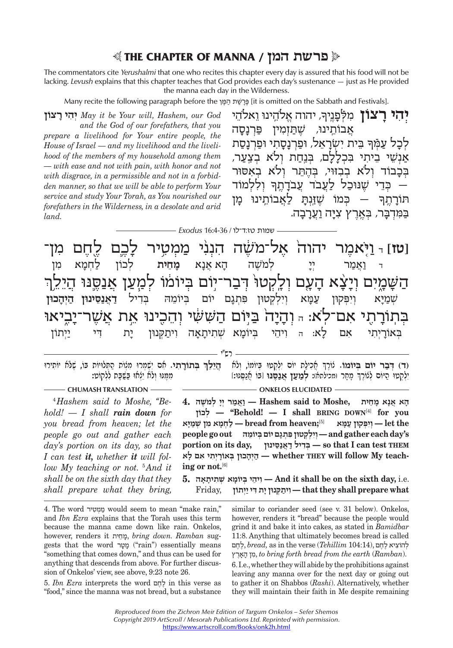# ♥ **THE CHAPTER OF MANNA / המן פרשת**♦

The commentators cite *Yerushalmi* that one who recites this chapter every day is assured that his food will not be lacking. *Levush* explains that this chapter teaches that God provides each day's sustenance — just as He provided the manna each day in the Wilderness.

Many recite the following paragraph before the פָּרְשֶׁת הַפָּן [it is omitted on the Sabbath and Festivals].

**צוֹן ר היִ יְ** *May it be Your will, Hashem, our God and the God of our forefathers, that you prepare a livelihood for Your entire people, the House of Israel — and my livelihood and the livelihood of the members of my household among them — with ease and not with pain, with honor and not with disgrace, in a permissible and not in a forbidden manner, so that we will be able to perform Your service and study Your Torah, as You nourished our forefathers in the Wilderness, in a desolate and arid land.*

ׅ֡֝֬ י יהוה אלֹהֵינוּ וֵאלֹהֵי)<br>**יְהִי רָצוֹן** מִלְפָנֵיךָ, יהוה אֱלֹהֵינוּ וֵאלֹהֵי<br>אבוֹתינוּ. שתּומיו פרנסה ׇׅ֬ לכל עמר בית ישראל. ופרנסתי ופרנסת אִנָּשֵׁי בֵיתִי בִּכְלַלַם, בִּנַחַת וְלֹא בִצְעַר, בּכבוֹד ולֹא בבזוּי, בּהתּר ולֹא באסוּר ֚֞ ...<br>בדי שנוכל לעבד עבדתר וללמוד – ֚֚֚֡ כּמוֹ שׁזּנת לאבוֹתינוּ מז תּוֹרת ך בִּמִּרְבַּר, בִּאֱרֶץ צְיַה וַעֲרַבָה.

שמות טז:ד־לו / 16:4-36 *Exodus*

N **[טז]** ד וַאֲמַר יִיָּ לְמֹשֶׁה הָא אֲנָא מָחֵית לְכוֹן לַחְמָא מִן<br>ד וַאֲמַר יִיָּ לְמֹשֶׁה הָא אֲנָא מָחֵית לְכוֹן לַחְמָא מִן נאָמַר יְיָ לְמֹשֶׁה הָא אֲנָא מָחֵ**ית לְכוֹן לַחְמָא**<br>ו ויצׂא העם ולקטו<sup>ּ</sup> דבר־יוֹם בּיוֹמוֹ למעז אנסנּוּ ז ְ ה הַּבְּצֶה הַיְהָכוֹן (מִרְגָם יוֹם בְּיוֹמֵהּ בְּדִיל **דַאֲנַסֵינוּן הַיְהָכוּן ``**<br>שְׁמַיָּא וְיִפְקוּוּ עֲמָא וְיִלְקְטוּן פִּתְגָם יוֹם בְּיוֹמֵהּ בְּדִיל **דַאֲנַסֵינוּן הַיְהָכוּן** שְׁמַיָּא וְיִפְקוּן עַמָּא וְיִלְקְטוּן פִּתְגָם יוֹם בְּיוֹמֵהּ בְדִיל **דַאֲנַסֵינוּן הַיְהָכוּן**<br>סוֹר א אז לא - נדיכה ביוֹת הזֹאזוֹאזוּ והריוב אם אזזור־נרנאו ַבְּאוֹרָיְתִי אִם לָא: הּ וִיהֵי בְּיוֹמָא שְׁתִיתָאָה וִיתַקְּנוּן יָת דִּי יַיִּתוֹן בְּיוֹן בִּיִ ְבָּה הוֹא הַיֹּה (הוֹיִה וּ יִה יִה יִה יִה יִה וּ יִה וֹאֲרֹה) (הוֹיִה אֲרֹאָה) (הוֹיִה וּ יִה וּ יִה וּ יִה<br>הייתה הוֹא הַיֹּה (הוֹיִה יִה יִה יִה יִה יִה יִה וֹיִה וּ דִּי יִה וֹיִה אִ קִּרְה הַבְּה וּ יִה וּ יִה וּ יִ

ְ ֲ אִכיל ִ ת יוֹם יְלְק ְ טוּ בּ ְ יוֹמוֹ, ולֹא **ְ (ד) דּב ְ ר יוֹם בּיוֹמוֹ.** ֶ צוֹרך ְ ָ מָחר (מכילתא): **ְלמ ע ֲ ן אנֶ סּנּוּ** ֲ [בּוֹ אנֶסּנּוּ:] **ְ**(ד) דְּ<mark>בַר יוֹם בְּיוֹמוֹ.</mark> נוֹרֶךְ חֲכִילַת יוֹס יִלְקְטוּ בְּיוֹמוֹ, וְלֹא - הֲיֵלֵךְ בְּתוֹרָתִי. אִם יִשְׁמְרוּ מִנְוֹת הַתְּלוּיוֹת בּוֹ, שֶׁלֹּא*וֹ יוֹתִירוּ*<br>ילקטוּ היוֹם לנוֹרֶךְ מחַר ומכילתא)**: למעז אנסנוּ** [בּו ִמֶמּ ְ נּוּ ולֹ ֵא יְצאוּ בּ שָּׁ בּ ִת לְלקוֹט:

רש"י

# **CHUMASH TRANSLATION** ———————————————————— ONKELOS ELUCIDATED

4  *Hashem said to Moshe, ''Behold! — I shall rain down for you bread from heaven; let the people go out and gather each day's portion on its day, so that I can test it, whether it will follow My teaching or not.* <sup>5</sup>  *And it shall be on the sixth day that they shall prepare what they bring,* 

**ָ ה ֲא אָנ ָא מֵחית ,Moshe to said Hashem — וֲאמ ְר יָי ְ למֹ ֶשׁה 4. לכוֹןְ'' — Behold! — I shall BRING DOWN**[4] **for you the let — ְוִי ְפּ קוּן עָמּא** [5]**;heaven from bread — ל ְחָמ ִא מ ְ ן שׁמָיּא s'day each gather and — ְוִי ְל ְק ִ טוּן פּ ְתָג ְ ם יוֹם בּ ֵ יוֹמהּ out go people portion on its day, סּינוּןֵנאֲד יל דִבְּ — so that I can test THEM** [6]**.not or ing-teach My follow will THEY whether — הְיָה ְ כוּן בּ ָאוֹרְי ִת ִ י א ָם לא**

 .e.i **,day sixth the on be shall it And — ִו ֵיה ְ י בּ ָ יוֹמ ְא שׁ ִת ָיתָאה 5. what prepare shall they that — ִו ית ְקּ ָ נוּן י ִת דּ י יְיתוֹן** ,Friday

4. The word מְמְטִיר would seem to mean "make rain," and *Ibn Ezra* explains that the Torah uses this term because the manna came down like rain. Onkelos, however, renders it חיתֵמ, *bring down. Ramban* suggests that the word טרמ") rain") essentially means "something that comes down," and thus can be used for anything that descends from above. For further discussion of Onkelos' view, see above, 9:23 note 26.

5. *Ibn Ezra* interprets the word חםֶלֶ in this verse as "food," since the manna was not bread, but a substance similar to coriander seed (see v. 31 below). Onkelos, however, renders it "bread" because the people would grind it and bake it into cakes, as stated in *Bamidbar*  11:8. Anything that ultimately becomes bread is called לְהוֹצִיא לֶחֶם ,*bread*, as in the verse (Tehillim 104:14), לֻחֲם רץֶאה ן  מִ , *to bring forth bread from the earth* (*Ramban*).

6. I.e., whether they will abide by the prohibitions against leaving any manna over for the next day or going out to gather it on Shabbos (*Rashi*). Alternatively, whether they will maintain their faith in Me despite remaining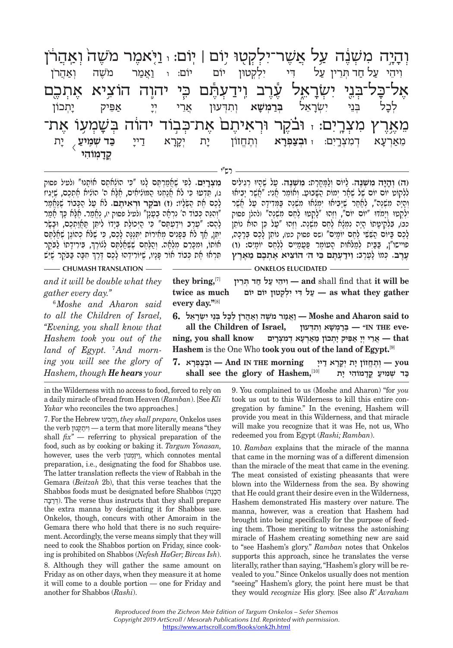מִשְׁבֶּה עַל אֲשֶׁר־יִלְקְטָוּ יוֹם | יוֹם: <sub>י</sub> וַיִּאמֶר מֹשֶׁה וְאַהֲרֹן<br>לחרתיו על די ילקטון יום יום: ו ואמר משה ואהרו ֶאל־כּ ְ ל־בּנ ִ Mי י ְשׂר
 א ֶ֕ Kל עֶרב וJ יד ְ עֶ֕תּם כּ ֛ F י יהוה הוֹצ ֶ יא א ְתכ ם ֶי יִאֶר וּבְצַפְּרָא וְתֶחֱוֹן יָת יְקָרָא דַייַ **כַּד שְׁמְיִיצ ,**<br>מֵאַרְעָא דְמִצְרֶים: וּ**וּבְצַפְרָא** וְתֶחֱוֹוֹן יָת יְקָרָא דַייַ כַּ**ד שְׁמִייצ** ִו ֵיהי ע ל ח ְ ד תֵּרין ע ִ ל דּ ִ י י ְל ְקטוּן יוֹם יוֹם: <sup>ו</sup> וֲ אמר מֹ ֶשׁ ְ ה ואֲ הרֹן לְבָל בְּנֵי יִשְׂרָאֵל בְּרַמְּשָׁא וְתִדְעוּן אֲרֵי יְיָ אַפִּיק יָתְכוֹן<br>ארע מערינתי נרבר נראיתת אח־ברוֹד ודוֹד ב*וֹזומוזוֹ א*ר **כּ ד ְשׁמ / יע** $\mathbb{R}$  ( ֵמאְ רע ְ א ד ִמ ְצר0ִ ים: <sup>ז</sup> **ְוּבצ ְ פר א** ְוֶתֱחזוֹן י ְ ת יק
 ר
א ד יי <sup>&</sup>gt; **ֳקד ֽ מ ִוֹהי**

רש"י

**מצרים. לפי שַׁאמרתּם לנוּ "כּי הוֹלאתם אוֹתנוּ" (לעיל פסוק** ְג), תִּדְטוּ כִּי לֹא אנִתְנוּ הִמּוֹלִיאִים, אִלֹּא ה' הוֹלִיא אִתְכִם, שִׁיְּגִיז ֧֖֖֖֧֖֖֧֧֧ׅ֚֚֚֚֚֚֚֚֚֚֚֚֚֚֚֝֝֝֓֝֬֝֬֝֬֝֓֝֬֝֓֝֬֓֓֬֝֬֝֬֝֓֬֝֬֝֬֝֬ לָכֶם אֶת הַשְּׂלָ**יו: (ז) וּבֹקֶר וּרְאִיתֶבּ. לֹא טֵל הַכִּבוֹד שֶׁנֶּאֱמַר<br>"וְהָנֶּה כְּבוֹד ה' נִרְאֶה בֵּטֵנַן" ולעיל פסוק י), נֵאֱמַר. אֲלָא כָּךְ אָמַר** לַהֶם: "עֲרֶב וְיִדְעָתֶּם" כִּי הַיְכוֹלֶת בַּיָדוֹ לִיתֵּן תַּחֲוַתְכֶם, וּבָשֶׂר ְיִתֵּן, אַךְ לֹא בְּפַנִים מִאִירוֹת יִתְּגֵנֵּה לָכֶם, כִּי שָׁלֹא כְהוֹגֶן שְׁאֲלָתֵּם ֧֚֚֚֚֚֩׀<br>ֺ֧ אוֹתוֹ, וּמִכִּרס מלאה. והלּחִם שְׁשַׁאוֹלִתֵּם לְנוֹרְךָ, בּירידתו לבקר ִתְּרָאוּ אֶת כְּבוֹד אוֹר פַּנֵיו, שֵׁיוֹרִידָהוּ לָכֶם דֶּרֶךְ חִבָּה בַּבֹּקֵר שָׁיָשׁ **ְ (ה) וה י ִ ה מ ְשֶׁנה.** ל ְ יּוֹם ולָ מֳּחָרת: **ִמ ְשֶׁנה.** ע ֶ ל שָׁה ְ יוּ רִג ִילים כב), בְּלֶקִיטַתוֹ הַיָּה נְמְלָא לֶחֶם מִשְׁנֵה. וְזֶהוּ "טַל כֵּן הוּא נוֹתֶן לַלְקוֹט יוֹם יוֹם שֶׁל שְׁתָר יְמוֹת הַשָּׁבוּטַ, וְאוֹמַר אֲנִי: "אֲשֶׁר יָבִיתוּ<br>וְהָיָה מִשְׁנָה", לְחַׁחַר שֶׁיָּבִיתוּ יִמְגְתוּ מִשְׁנֶה בַּמְּדִידָה עַל אֲשֶׁר<br>יַלַּקִטוּ וְיֵמֹדּוּ "יוֹם יוֹם", וְזֶהוּ "לָקְטוּ ל לָכֶם בַּיּוֹם הֻעָּעָ לֶחֶם יוֹמָיִם" ושם פִּסוק כט), נוֹמַן לָכֶם בְּרָכָה,<br>פויישו"ן, בּבּית למלאות הִטוֹמר פּטמיים ללחִם יוֹמים: (ו) **ֶעֶרב.** ְ כּ ָ מוֹ לֶעֶרב: **ִויד ְ עֶתּ ִם כּ ִ י ה' הוֹצ ֶ יא א ְתֶכ ֵם מֶאֶרץ** 

**CHUMASH TRANSLATION CHUMASH TRANSLATION** 

*and it will be double what they gather every day.''*

6  *Moshe and Aharon said to all the Children of Israel, ''Evening, you shall know that Hashem took you out of the*  land of Egypt. <sup>7</sup>And morn*ing you will see the glory of Hashem, though He hears your* 

 **be will it** that find shall **and — ִו ֵיה י ע ל ח ְד תֵּרין** [7]**,bring they gather they what as — ע ִל דּ ִ י י ְל ְקטוּן יוֹם יוֹם much as twice every day.''**[8]

 **to said Aharon and Moshe — וֲאמר מֹ ֶשׁ ְה ואֲהרֹ ְ ן לָכ ְל בֵּנ ִ י י ְשָׂרֵאל 6.**  $\bf{k}$  **יִתְרְעוֹץ**  $\bf{k}$  (אֲרָעָא דְמִעָּרִיִם –  $\bf{k}$  and , you shall know – אֲרִי יִיִ $\bf{k}$  – that – אֲרִי יִי אַפִּיק יִתְכוֹן  $\bf{k}$ **eve THE IN — ''ְבּר ְמ ָשׁ ְא ו ִתְדּעוּן ,Israel of Children the all Hashem** is the One Who **took you out of the land of Egypt.**[9]  **you — ְוֶתֱח ָ זוֹן י ְת יָקָר א ד ָיי morning THE IN And — ְוּבצ ְפָרא 7.  כּ ְ ד שׁ ִמ יע ֳ קָד ִמוֹה ָ י ית** [10]**,Hashem of glory the see shall**

in the Wilderness with no access to food, forced to rely on a daily miracle of bread from Heaven (*Ramban*). [See *Kli Yakar* who reconciles the two approaches.]

7. For the Hebrew כינוִּ הֵוְ, *they shall prepare,* Onkelos uses the verb קּנוּןְית וִ — a term that more literally means "they shall  $\hat{\mu}x''$  — referring to physical preparation of the food, such as by cooking or baking it. *Targum Yonasan,*  however, uses the verb ויוַמְנוּוּן, which connotes mental preparation, i.e., designating the food for Shabbos use. The latter translation reflects the view of Rabbah in the Gemara (*Beitzah* 2b), that this verse teaches that the Shabbos foods must be designated before Shabbos (נהכה ֲ בּהרדְּ(. The verse thus instructs that they shall prepare the extra manna by designating it for Shabbos use. Onkelos, though, concurs with other Amoraim in the Gemara there who hold that there is no such requirement. Accordingly, the verse means simply that they will need to cook the Shabbos portion on Friday, since cooking is prohibited on Shabbos (*Nefesh HaGer; Bircas Ish*).

8. Although they will gather the same amount on Friday as on other days, when they measure it at home it will come to a double portion — one for Friday and another for Shabbos (*Rashi*).

9. You complained to us (Moshe and Aharon) "for *you* took us out to this Wilderness to kill this entire congregation by famine." In the evening, Hashem will provide you meat in this Wilderness, and that miracle will make you recognize that it was He, not us, Who redeemed you from Egypt (*Rashi; Ramban*).

10. *Ramban* explains that the miracle of the manna that came in the morning was of a different dimension than the miracle of the meat that came in the evening. The meat consisted of existing pheasants that were blown into the Wilderness from the sea. By showing that He could grant their desire even in the Wilderness, Hashem demonstrated His mastery over nature. The manna, however, was a creation that Hashem had brought into being specifically for the purpose of feeding them. Those meriting to witness the astonishing miracle of Hashem creating something new are said to "see Hashem's glory." *Ramban* notes that Onkelos supports this approach, since he translates the verse literally, rather than saying, "Hashem's glory will be revealed to you." Since Onkelos usually does not mention "seeing" Hashem's glory, the point here must be that they would *recognize* His glory. [See also *R' Avraham*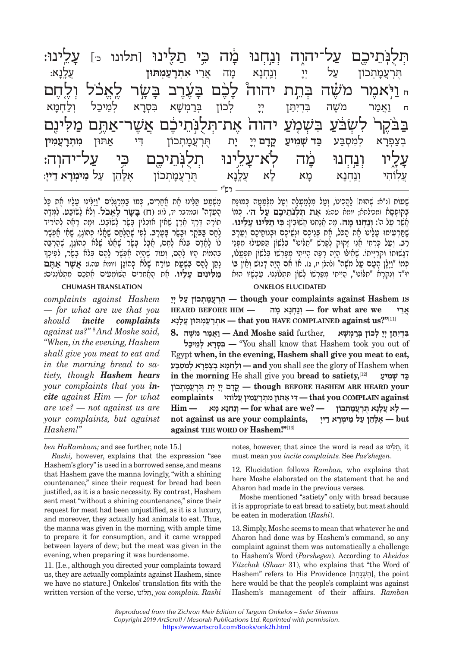| ּעלינוּ:                                                                         |          |         |          |                       |       |            |                                     |               |                  | תְּלֻנְּתֵיכֶם עַל־יהוֶה וְנַחְנוּ מָׂה כִּי תַלֻּינוּ [תלונו 1ּ] |
|----------------------------------------------------------------------------------|----------|---------|----------|-----------------------|-------|------------|-------------------------------------|---------------|------------------|-------------------------------------------------------------------|
| ַעֲלֶנָא:                                                                        |          |         |          | אִתְרָעַמְתּוּן       | אֲרֵי | מה         | <b>יְנַחְנָא</b>                    | לל            | עַל              | ֿיָ <i>ּ</i> רְעֲמָתְכוֹן                                         |
|                                                                                  | לאכל     |         |          |                       |       |            | יהוה <i>לָ</i> כֶׁם בָּעֶרֶב בָּשֳר | בְּתֵת        |                  | <sub>י ב</sub> יאמר משה                                           |
| וַלַחְמַא                                                                        | לְמֵיבַל |         | בִּסְרָא | בְּרַמְ <i>ּשָׁ</i> א |       | יִי לְכוֹן |                                     | בִּדְיִתֵן    | מֹשֵׁה           | ואמר<br>$\Box$                                                    |
| בַּבֹּקֶרֹ לִשְׂבֹּעַ בִּשְׁמְעַ יהוה אֶת־תְּלֻנְּתֵיבֶם אֲשֶׁר־אַתֶּם מַלִּינֶם |          |         |          |                       |       |            |                                     |               |                  |                                                                   |
| מִתְרָעֲמִין                                                                     | אַתּוּן  | די      |          | ּתֻּרְעֲמָתְכוֹן      |       |            | קֵדָם יְיָ                          | כַּד שִׁמְיעַ | למִסְבַּע        | <b>ְ</b> בְצַפְרָא                                                |
| ּעַל־יהוה:                                                                       |          | כי      |          | תלנתיכם               |       |            | לא־עָלֵינוּ                         | מׁٕה          | ונחנו            | <b>עֲלִיו</b><br>עֲלִוּהִי                                        |
| עַל מֵימְרָא דַייָ:                                                              |          | אָלָהֵן |          | ֿהָרְעֲמָתְכוֹן       |       | עֲלֶנָא    | לא                                  | χņ            | <b>וְנַחְנָא</b> |                                                                   |
|                                                                                  |          |         |          |                       |       |            |                                     |               |                  |                                                                   |

משִׁמִט תִּלִּינוּ את אִחְרִים, כִּמוֹ בִמְרְגְּלִים "וִיּלִּינוּ טַלִיו אִת כּל ְהָעֵדָה" וּבמדבר יד, לו): (ח) בָ**שָׂר לָאֲבֹל.** וְלֹא לָשׂוֹבַע. לִמְּדָה<br>תוֹרָה דֵּרֶךְ אֶרֶץ שָׁאַין אוֹכִלִין בָּשֶׂר לָשוֹבַע. וּמָה רָאָה לְהוֹרִיד ָלֶחֶם בַּבֹּקֶר וּבָשָׂר בָּעָרֶב. לְפִי שֶׁהֲלֶחֶם שָׁאֲלוּ כְּהוֹגֶן, שֶׁאָי אָפְשָׁר<br>לוֹ לָאָדָם בְּלֹא לֶחֶם, אֲבָל בָּשֶׂר שָׁאֲלוּ שֶׁלֹּא ְ כְהוֹגֶן, שֶׁהֲרְבֵּה<br>בְּהֵמוֹת הִיוּ לַהֶם, וְעוֹד שֵׂהֲיָה אֶפָּשָׁר לַ נְתַן לָהֶם בִּשְׁעַת טוֹרַח שֶׁלֹא כְהוֹנֶן ויומא עה.): **אֲשֶׁר אַתֶּם**<br>**מליגים עליו**. את האחרים השומעים אתכם מתלוננים:

*complaints against Hashem — for what are we that you should incite complaints against us?''* <sup>8</sup>  *And Moshe said, ''When, in the evening, Hashem shall give you meat to eat and in the morning bread to satiety, though Hashem hears your complaints that you incite against Him — for what are we? — not against us are your complaints, but against Hashem!''*

שָׁטוֹת וֹנִיּא: שְהוּת) לַהֲכִינוֹ, וְטַל מִלְמַטְלָה וְטַל מִלְמִטְּה כְּמוּנֶת<br>בְּקוּפְסָא (מכילתא; יומא עה:: אֶגת הְ**לִלּוֹתֵיבֶם עַל ה**׳. כְּמוֹ<br>מְשָׁר טַל ה׳: **וְנַחְנוּ מָה.** מָה אֲנָקְנוּ חֲשִׂיבִּין: **בִּי תַלִּי** דְגַאֵּוּתוֹ וּקְרָיָיִתוֹ. שֶׁאִילוֹ הָיָה רָפֶה הָיִיתִי מְפָרְאוֹ בִּלְאוֹן תִּפְעֲלוּ,<br>כְּמוֹ "וַיָּלֶן הָטָם טַל משֶׁה" ולהלן יז, ג). אוֹ אִם הָיָה דָגוּאַ וְאֵין בּוֹ<br>יוּ"ר וַיַּקְרַא "תַלּוֹנוּ", הַיִּיתִי מִפְרֹאו

**CHUMASH TRANSLATION ONKELOS ELUCIDATED** 

 **Indugh your complaints against Hashem is** הַרְעֲמִתְכוֹן עַל יְיָ  **אֵרי אֵרי for** what are we ונחנא מה — **heard** BEFORE HIM — [11]**''?us against COMPLAINED HAVE you that — ִא ְתָרע ְמ ֲ תּוּן ע ָלָנא**

**ִ בְּדִיֵתּ ְן יָי ְ ל ְ כוֹן בּר ְמ ָשׁא** ,further **said Moshe And — וֲאמר מֹ ֶשׁה 8. יכל מֵל אְ רָסְ בִּ**" **—** You shall know that Hashem took you out of Egypt **when, in the evening, Hashem shall give you meat to eat,**  when Hashem of glory the see shall you **and — ְול ְחָמ ְא בצ ְפָר ְא ל ִמ ְסבּע in the morning** He shall give you **bread to satiety,**[12] **יע מִ שׁ ד ְ כּ your HEARD ARE HASHEM BEFORE though — ֳקָד ְם יָי ָ י ֻת תְּרֲעָמ ְתכוֹן against COMPLAIN you that — ִדּ י א ִ תּוּן מ ְתָרֲע ִמ ֲ ין ע ִלוֹהי complaints — ָל ֲא ע ָלָנ ֻא תְּרֲעָמ ְתכוֹן — ?we are what for — ְונ ְחָנ ָא מא — Him put —** אֵלְהֵן עַל מֵימִרָא דַיִי / but **against THE WORD OF Hashem!''**[13]

*ben HaRambam;* and see further, note 15.]

*Rashi,* however, explains that the expression "see Hashem's glory" is used in a borrowed sense, and means that Hashem gave the manna lovingly, "with a shining countenance," since their request for bread had been justified, as it is a basic necessity. By contrast, Hashem sent meat "without a shining countenance," since their request for meat had been unjustified, as it is a luxury, and moreover, they actually had animals to eat. Thus, the manna was given in the morning, with ample time to prepare it for consumption, and it came wrapped between layers of dew; but the meat was given in the evening, when preparing it was burdensome.

11. [I.e., although you directed your complaints toward us, they are actually complaints against Hashem, since we have no stature.] Onkelos' translation fits with the written version of the verse, תלּוֹנוִּ , *you complain. Rashi*  notes, however, that since the word is read as לּינוִּ ת, it must mean *you incite complaints.* See *Pas'shegen*.

12. Elucidation follows *Ramban,* who explains that here Moshe elaborated on the statement that he and Aharon had made in the previous verses.

Moshe mentioned "satiety" only with bread because it is appropriate to eat bread to satiety, but meat should be eaten in moderation (*Rashi*).

13. Simply, Moshe seems to mean that whatever he and Aharon had done was by Hashem's command, so any complaint against them was automatically a challenge to Hashem's Word (*Parshegen*). According to *Akeidas Yitzchak* (*Shaar* 31), who explains that "the Word of Hashem" refers to His Providence [הַשְׁגַּחַה], the point here would be that the people's complaint was against Hashem's management of their affairs. *Ramban*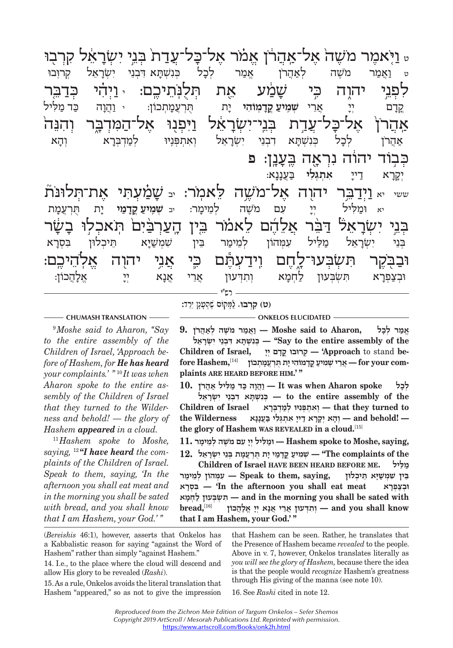ַ יֹּ יִעֹּר אֹי יִשְׂרָאֵל קִרוּבוּ<br>ט וַאֲמַר מֹשֶׁה לְאַהֲרֹן אֱמַר לְבָל בְּנִשְׁתָּא דִּבְנֵי יִשְׂרָאֵל קְרוּבוּ י ידי יש יכול להיו המלוחורת החלות היו ידי ידי הירוי לי יציר יו ידי יציר ו<br>לחוי ידיד רי *ייווליו* אם הלוחורם וידי לידי ְפְרָם יְרָ אֲרֵי **שְׁמִיעַ קֲדָמְוֹהִי** יָת הֻרְעֲמָתְכוֹן: י וַהֲוָה כַּד מַלִּיל .<br>קֵרָם יְיָ אֲרֵי **שְׁמִיעַ קֵדָמְוֹהִי** יָת קְרָם יִי אֲרֵי שְׁמִיעַקְדָמְוֹהִי יָת תִּרְעֲמָתְכוֹן: יוַהֲהָ כִּד*ִ*מַלִּיל<br>אדרו אל־היל־זזדת הוי־יזזזראל ויחוי אל־המדהר והוה אֲ הָרָ הַּבְּנֵי יִשְׂרָאֵל וְאִתְפְּנֶיוּ לְמַדְבְּרָא וְהָא "יִשְׂרָאַל".<br>אַהֲרֹן לְכָל כְּנִשְׁתָּא דִבְנֵי יִשְׂרָאֵל וְאִתְפְּנֶיוּ לְמַדְבְּרָא אָ דְּבְּנוּ יוֹ וְעִיּךָ לְבִל וּ לִּנִּי וּ יִצְיִּי וּ יִשׁהְ בִּנוּ וּ יִשׁתְּ וּ יִשְׁתָּ וּ יִשְׁתְּ וּ<br>לחוד והלה וחיאה העווי ח <mark>ּכְבְוֹד יהוֹה נִרְאֶה בֶּעֲנֶן: פ</mark>ּ<br>יְקָרָא דַייָ אִתְגְּלִי בַּעֲנָָאָ: יִקְרָא דַייַ אתְג<mark>ָּלִי בַ</mark>עֲנָנָא:<br>.... ... וידרר ידרוד אל־ את־תלוּנּת א וּמַלִּיל יִי עִם מֹשֶׁה לְמֵימָר: יִבּ **שְׁמְיִעַ קֵדְמַי** יָת תֻּרְעֲמָת.<br>יֹא וּמַלִּיל יִי עִם מֹשֶׁה לְמֵימָר: יִב **שְׂמִיעַ קֵדְמַי** יָת תֻּרְעֲמָת יא וּמַלִּיל יִיָּ עִם מֹשֶׁה לְמֵימָר: בּ**שְׁמִיעַקֲדָמַי** יָת הֻרְעֲמָת<br>רַיִזוֹר אֵ הֹיִר אלהו לאמר ביד הזגרבית היארלו רַיזוֹר ַ אֶבֶּ יָ דָּבֶּל יָ דָּבֶּ יִבְּיַ יִבְּיִל הַ הַיִּבְלוּן בִּסְרָא<br>בְּנֵי יִשְׂרָאֵל מַלֵּיל עִמְּהוֹן לְמֵימַר בֵּין שִׁמְשַׁיָּא תֵּיכְלוּן בִּסְרָא

וּבְצַפְרָא תִּשְׁבְּעוּן לַחְמָא וְתִדְּעוּן אֲרֵי אֲנָא יְיָ יְאֱלֹהֲכוֹן:<br>וּבְצַפְרָא תִּשְׁבְּעוּן לַחְמָא וְתִדְּעוּן אֲרֵי אֲנָא יְיָ אֱלֹ ְבֵּנ ִ י י ְשׂרֵ אל מֵ לּ ִ יל ע ְמּ ְ הוֹן לֵמימ ֵ ר בּ ִ ין שְׁמשׁ יּ ֵ א תּ ְיכ ִ לוּן בּ ְסר
 א יִ דְּוּבָעוּן ל ְאוֹיִבְּעִיּךְ לִחְדְּ אֵר ְשׁׁ וּחַנוּ לִאֲרָבְּעוֹן לִחְדָּ לִתְדָּ לִתְדָּ לִתְדָּ לִתְדָ<br>(שָׂ"ל — יוֹן: דָּבוּך) (שִׂ"ל — יוֹן: דָּבוּך) (שִׂ"ל — יוֹן: דָּבוּך) (שִׂ"ל — יוֹן: דָּבוּך) (שִׂ"ל — יוֹן רש"י

9  *Moshe said to Aharon, ''Say to the entire assembly of the Children of Israel, 'Approach before of Hashem, for He has heard your complaints.' "* <sup>10</sup> *It was when Aharon spoke to the entire assembly of the Children of Israel that they turned to the Wilderness and behold! — the glory of Hashem appeared in a cloud.*

<sup>11</sup> *Hashem spoke to Moshe, saying,* <sup>12</sup> *''I have heard the complaints of the Children of Israel. Speak to them, saying, 'In the afternoon you shall eat meat and in the morning you shall be sated with bread, and you shall know that I am Hashem, your God.' "*

**ִ (ט) קְרבוּ.** לָ מּ ֶ קוֹם שֶׁהָעָנ ֵ ן יֵרד:

**CHUMASH TRANSLATION ONKELOS ELUCIDATED** 

**ֱ אמ ְ ר לָכל ,Aharon to said Moshe — וֲאמר מֹ ֶשׁ ְ ה לאֲהרֹן 9. the of assembly entire the to Say — ''ְכִּנ ְשָׁתּ ִא דּ ְבֵנ ִ י י ְשָׂרֵאל** Children of Israel, הְרוּבוּ קֵדָם יְיָ — 'Approach to stand be-<br>**p**or your com- אֵרִי שְׁמִיעַ קַדְמוֹהִי יָת תִּרְעֲמָתְבוֹן **be** stand to **Approach — 'ְק ֳ רוּבוּ קָד ְם יָי ,Israel of Children**

fore Hashem,<sup>[14]</sup> אֲרֵי שְׁמִיעַ קֵדְמוֹהִי יָת הֻרְעֲמָתְבוֹן — for your com**-**<br>plaints ARE HEARD BEFORE HIM.' " **ְ לָכל spoke Aharon when was It — וֲהָו ה כּ ד מ ִלּ יל אֲהרֹן 10. the of assembly entire the to — ְכִּנ ְשָׁתּ ִ א ד ְבֵנ ִ י י ְשָׂרֵאל to turned they that — ְו ִא ְת ְפִּנ ְ יּוּ למְד ְבָּרא Israel of Children**

**— !behold and — ְוָה ְא יָקָר א ד ָיי ִ א ְתְגּ ִל י בֲּעָנָנא Wilderness the the glory of Hashem WAS REVEALED in a cloud.**[15]

**,saying ,Moshe to spoke Hashem — וּמ ִלּ ְ יל יָי ִ עם מֹ ֶשׁ ְה לֵמ ָימר 11.**

 $t$ <sup>2</sup> שְׁמִיעַ קֵדְמַי יָת תִּרְעֲמָת בְּנֵי יִשְׂרָאֵל (The complaints of the **Children of Israel HAVE BEEN HEARD BEFORE ME. לּילֵמ ֵ בּ ִ ין שׁ ְמ שָׁיּ ֵא תּ ְיכלוּן ,saying ,them to Speak — ִע ְמּ ְ הוֹן לֵמ ימר** *וּבְצַפְרָא* **— 'In the afternoon you shall eat meat וּבְצַפְרָא מאָחְ ל עוּן בְּ שְׂ תִּ — and in the morning you shall be sated with**   $\bm{b}$ read, $\bm{b}^{[16]}$  **w** אֱלָהֶכוֹן (16] — **and** you shall know **that I am Hashem, your God.' "**

(*Bereishis* 46:1), however, asserts that Onkelos has a Kabbalistic reason for saying "against the Word of Hashem" rather than simply "against Hashem."

14. I.e., to the place where the cloud will descend and allow His glory to be revealed (*Rashi*).

15. As a rule, Onkelos avoids the literal translation that Hashem "appeared," so as not to give the impression

that Hashem can be seen. Rather, he translates that the Presence of Hashem became *revealed* to the people. Above in v. 7, however, Onkelos translates literally as *you will see the glory of Hashem,* because there the idea is that the people would *recognize* Hashem's greatness through His giving of the manna (see note 10).

16. See *Rashi* cited in note 12.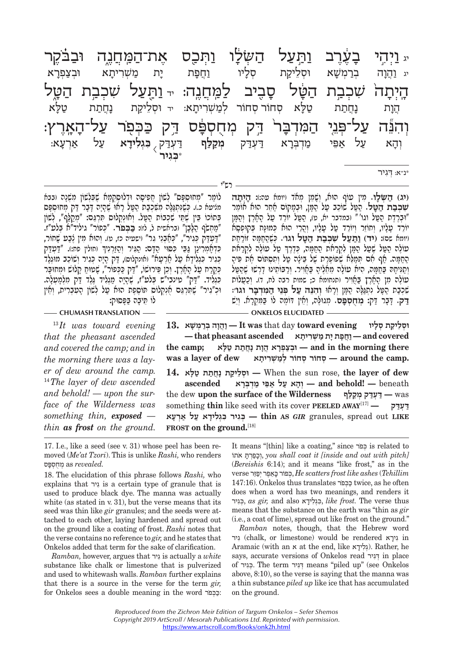ותעל יג. יג וָהֲנָה בְּרַמְשָׁא וּסְלֵיקָת קָלָיוּ וַהֲפָת יָת מַשְׁרִיתָא וּבְצַפְּרָא<br>יִ וַהֲנָה בְרַמְשָׁא וּסְלֵיקָת קָלָיוּ וַהֲפָת יָת מַשְׁרִיתָא וּבְצַפְּרָא יג וֲ הו ְ ה בר ְ משׁ ְ א וּסֵליק ְ ת סל
 יו וֲ חפ
ת י
ת מ ְ שִׁרית ְ א וּבצ ְ פר
 א הַ יִּבְיָ יִד שִׁכֹּע הַבְּעֹל הַ הַלְּבְיֹת הַדְּבְיָ הַלֹּא<br>הֲנָת נָחֲתַת טַלַּא סְחוֹר לְמַשְׁרִיתָא: יד וּסְלֵיקַת נָחֲתַת טַלָּא יִי יול-הוי המדרל דר מחתתח דר רכה ליחד על־הארא ַ יְהִי הַעֲרָךְ לִבְּנַיִּ הַעֲרָךָ בְּנְלִידָא עַל אַרְעָא:<br>וְהָא עַל אַפִּי מַדְבְּרָא דַעְדַק מְ**קַלַף** דַעְדַק בּגְ**לִידָא עַל אַרְעָא:** דִּעְדַק , **בּגְלִידָא עַל אַרְעָא:**<br>בְּגִ**יר** וְהָא עַל אַפֵּי מַדְבְרָא דַעְדַק **מְקַלַף** דַעְדַק<sub> (</sub><br>בְּגִ**יר** \* **ְכּ ִגיר**

רש"י

\*נ"א: ְ דִּגיר

לוֹמֵר "מִחוּסִפָּס" לְשׁוֹן חֵפִיסָה וּדְלוּסְקָמָת שָׁבְּלְשׁוֹן מִשְׁנָה (בבת מציעה היישוביין משכבת הָ מִי הַדְּיִהָ<sup>י, הָ</sup> אִי יִשְׁהָי ִיִי-יִם דְּבַר דִּהְ מִחְוּסִפּּס "מ ְ חשֹׂף הָ לָּבן" (בראשית ל, לז): **כּ ְ כּפֹר.**בּתוֹכוֹ בּין שִׁתִּי שִׁכבוֹת הִטְּל. וְאוּנִקְלוּס תִּרְגֵּם: "מקלֹף", לשׁוֹן "דְּ עדּ ְ ק כִּג ְ יר", "כּאְ בֵנ ִ י גר" (ישעיה כז, ט) ְ . ו ִ הוּא מ ֶ ין צב ָ ע שׁחוֹר, ְכִּדְחֲמְרִינֵן גַּבֵּי כִּסְוּי הַדָּם: הַגְּיִר וְהַזַרְנְיִךְ וחולין פּח:). "דַּטְדַּק כְּגִיר כִּגְלִידָא טַל אַרְעָא" ואונקלוס), דַק הָיָה כְּגִיר וְשֹוֹכֵב מוּגְלֶד<br>כְּאֱלִיד. "דַק" טינבי"ש בְּלט"ז, שֶׁהָיָה מַגְלִיד גֶּלֶד דַק מִלְמָמְלָה.<br>כִּגְלִיד. "דַק" טינבי"ש בְּלט"ז, שֶׁהָיָה מַגְלִיד גֶּלֶד דַק מ

**CHUMASH TRANSLATION - <b>CHUMASH TRANSLATION** - **CHUMASH TRANSLATION** 

<sup>13</sup> *It was toward evening that the pheasant ascended and covered the camp; and in the morning there was a layer of dew around the camp.* <sup>14</sup> *The layer of dew ascended and behold! — upon the surface of the Wilderness was something thin, exposed thin as frost on the ground.* 

 $\mathbf{I}$ 8. **• יִסְלֵיקֵת סְלָיוּ — It** was that day toward evening  **covered and — וֲחָפ ָת י ת מ ְשִׁר ָיתא ascended pheasant that the camp; (בִצְפָרָא הֵוָת נְחֵתְת טַלֹּא in the morning there .camp the around — ְס ְ חוֹר ס ְ חוֹר למ ְשִׁר ָיתא dew of layer a was dew of layer the** ,rose sun the When **— ְוּסֵל יק ָת נֲחת ת ט ָלּא 14.** beneath**! — behold and — ְוָה א ע ל אֵפּ י מְד ְבָּרא ascended** the dew **upon the surface of the Wilderness לּףקמ קְ דּעְ דּ —** was something **thin** like seed with its cover **PEELED AWAY**[17] **— דּקעְ דּ LIKE** out spread ,granules *GIR* **AS thin — ְכּ ִג ִ יר כּ ְג ִל ָיד א ע ל אְרָעא** FROST on the ground.<sup>[18]</sup>

17. I.e., like a seed (see v. 31) whose peel has been removed (*Me'at Tzori*). This is unlike *Rashi,* who renders *.revealed* as ְמֻח ְספּס

18. The elucidation of this phrase follows *Rashi,* who explains that גירִ is a certain type of granule that is used to produce black dye. The manna was actually white (as stated in v. 31), but the verse means that its seed was thin like *gir* granules; and the seeds were attached to each other, laying hardened and spread out on the ground like a coating of frost. *Rashi* notes that the verse contains no reference to *gir,* and he states that Onkelos added that term for the sake of clarification.

*Ramban,* however, argues that גירִ is actually a *white*  substance like chalk or limestone that is pulverized and used to whitewash walls. *Ramban* further explains that there is a source in the verse for the term *gir,*  for Onkelos sees a double meaning in the word רֹכּפְ כּ: It means "[thin] like a coating," since רֹכּפְ is related to אתוֹ ֹ תּרְפכוְ, *you shall coat it [inside and out with pitch]*  (*Bereishis* 6:14); and it means "like frost," as in the verse יִפָּזֵר כָּאֵפֵר יִפְזֵר, He scatters frost like ashes (Tehillim 147:16). Onkelos thus translates רֹכּפְ כּ twice, as he often does when a word has two meanings, and renders it גירִכְּ , *as gir,* and also ידא לִגְכִּ , *like frost.* The verse thus means that the substance on the earth was "thin as *gir*  (i.e., a coat of lime), spread out like frost on the ground."

(**יג) הַשַּׁלַו.** מִין עוֹף הוּא, וְשָׁמֵן מְאֹד (יוּמא עה:): הַיִּתַה **ּשִׁבִּבַת הַטֵּל.** הַפֵּל שׁוֹכֵב עַל הַמֶּן, וּבִמָּקוֹם אֲחֵר הוּא אוֹמֵר

"וּבְרֶדֶת הַפֵּל וּגו'" ובמדבר יא, ט), הַפֵּל יוֹרֵד עַל הָאָרֶץ וְהַמָּן<br>יוֹרֵד טָלָיו, וְחוֹזֵר וְיוֹרֵד טַל טָלָיו, וְהֲרֵי הוּא כְּמוּנָּח בְּקוּפְסָא<br>ויוּמא שִם: (**יד**) <u>וַתַּ</u>עַ**ל שִׁבְּבַת הַטֵּל וֹגוֹ׳. כְּ**שֶׁהַ

ְטוֹלֶה הַטֶּל שֶׁעֲל הַמֶּן לְקְרַאת הַחַמַּה, כְּדֶרֶךְ טַל טוֹלֶה לְקְרַאת הַתַּמִּה. אַף אִם תִּמְלֵא שְׁפוֹפֶרֶת שֶׁל בֵּינָה טֵל וְתִסְתּוֹם את פּיה

וְסַנִּיקָהּ בַּחֲמָה, הִיא עוֹלָה מֵאֲלֶיהָ בַּאֲוִיר. וְרַבּוֹתֵינוּ דְרָשׁוּ שָׁהֲפֵל<br>עוֹלֶה מִן הָאָרֶץ בַּאֲוִיר ותנחומא כ; שמות רבה לח, ד). וְכַעֲלוֹת<br>שִׁרְבַּת הַמָּל נִתְגַּלֶּה הַמָּן וְרָאוּ וְדִהְנֵּה עֵל פְּנֵ

*Ramban* notes, though, that the Hebrew word גירִ) chalk, or limestone) would be rendered יראגִ in Aramaic (with an x at the end, like גְלִידָא). Rather, he says, accurate versions of Onkelos read גירִדְּ in place of גירִכְּ . The term גירִדְּ means "piled up" (see Onkelos above, 8:10), so the verse is saying that the manna was a thin substance *piled up* like ice that has accumulated on the ground.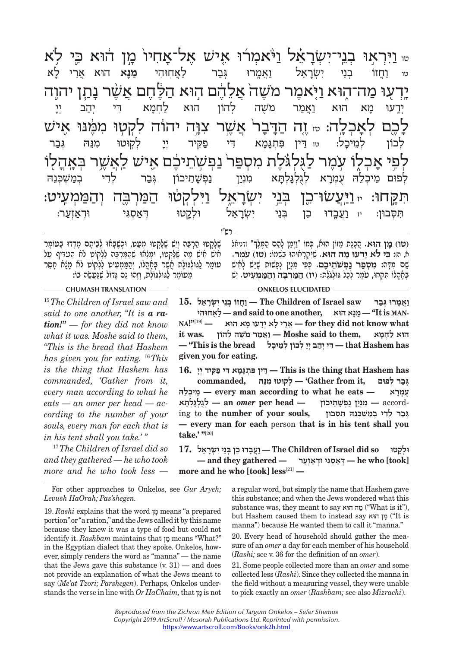יִי יְיָּח יִי יִּאֲבָר אֶבֶר לַאַחוּהִי מַנָּא הוּא אֲרֵי לֹא "<br>שוּ וַחֲזוֹ בְנֵי יִשְׂרָאֵל וַאֲמֶרוּ גְּבַר לַאֲחוּהִי מַנָּא הוּא אֲרֵי לֹא יִי דַ-דֶּן יֹיָ דַ-דֶּן יֹיָ דַ-דֶּן יֹיָ דַ-דֶּן יֹיָ דַ-דֶּן יֹיָ יִי דַ-דֶּן יֹיָ יִי דַ-דֶּן יֹיָ יִי נִד<br>יְדֵעוּ מָא הוּא וַאֲמַר מֹשֶׁה לְהוֹן הוּא לַחְמָא דִי יְהַב יְיָ אָ הַיָּבִּי הָ הַיָּבֶר הַיָּבֶר הַיִּשֶׁם הַלְּכוֹן לְמֵיכָל: ur לְקוֹטוּ מִנֵּהּ גְּבַר<br>לְכוֹן לְמֵיכָל: ur דִּין פִּתְגָּמָא דִי פַקִּיד יִיָ לְקוֹטוּ מִנֵּהּ גְּבַר י א יי א יי א יי די פוֹשְׁבֶּנָה אַ יִי דָּ יִךְ אֶבֶר לֹדִי בְּמַשְׁבְּנֵהּ |<br>לְפוּם מֵיכְלֵה עֻמְרָא לְגֻלְגָּלְתָא מִנְיַן נַפְּשֶׁתֵיכוֹן גְּבַר לְדִי בְמַשְׁבְּנֵהּ יִתְּחָבוּן: יוּ וַעֲבֶדוּ כֵּן יִשְׂרָאֵל - יוֹ יִוֹ - יִשְׁעֲלֹוּ (מִסְבוּן: יוּ וַעֲבֶדוּ כֵּן יָּה יִי וֹי<br>תִּסְבוּן: יוּ וַעֲבֶדוּ כֵן בְּנֵי יִשְׂרָאֵל וּלְקֵטוּ דְּאַסְגִּי וּדְאַזְעַר: <sub>טו נַ</sub>חֲזוֹ בְּנֵי יִשְׂרָאֵל נַאֲמֶרוּ גְּבַר לַאֲחְוּהִי מַּנָּא הוּא אֲרֵי<br>ידעוּ מה־הוּא ויֹאמר משה אלהם הוּא הלֹחם אשר נתן י יי יד הדרל אזזור עוּה וַהֹלִךְ הַלְ מֹ הַ הַלְּ הַלְ הַלֹּמֹן הַלֹּמֹ הַלְ יי דִּין פִּתְגָּמָא דִּי פַּקִּיד יְיָ<br>לגלגלת מספר נפשתיכם אי י ייני ניכול מיני ייני וי פשיט.<br>הכחה מינוזווריו רוי יוזראל וילכיוי המרכב והממוויו ִתּ ְסּבוּן: יז וֲ עב ֵ 0 דוּ כ ְ ן בֵּנ ִ י י ְשׂרֵ א ְ ל וּלק ְ 0 טוּ דּא ְ סִגּ ְ י וּדאְ זע ר:

רש"י

שֶׁלַּקְטוּ הַרְבַּה וְיֵשׁ שֶׁלָּקְטוּ מְטַט, וּכְשָׁבָּאוּ לְבֵיחֶם מִדְדוּ בָּטוֹמֶר<br>אִישׁ אִישׁ מַה שֶׁלַּקְטוּ, וּמְנְאוּ שֶׁהַמַּרְבֶּה לִלְקוֹט לא הֶטְדִּי טַל<br>טוֹמֶר לַגּוּלְגוֹלֶת אֲשֶׁר בְּאֶהֱלוֹ, וְהֵוּ נֵּס ג

ְ(**טו) מז הוּא.** הָכִנת מזוֹן הוּא, כִּמוֹ "וִימן להָם הָמִּלְךְ" וְדְנִיאִל א, ה): **ִכּי לֹא יְ דעוּ מ ה הוּא.** ֶשִׁיְּקָר ִ אוּהוּ בְשׁמוֹ: **ֹ (טז) עֶמר.**  שָׁם מִדָּה<mark>: מִסְפַּר נַפְשֹׁתֵיכֶם.</mark> כְּפִי מִנְיַן נְפָשׁוֹת שָׁיֵשׁ לְחִישׁ<br>בִּחֲהַלוֹ תִּקְתוּ, עֹמֵר לִכָל גּוּלְגֹּלֶת: (י**ז**) הַמַּרְבֶּה וְהַמַּמְעִיט. יֵשׁ

## **CHUMASH TRANSLATION ONKELOS ELUCIDATED**

<sup>15</sup> *The Children of Israel saw and said to one another, ''It is a ration!" — for they did not know what it was. Moshe said to them, ''This is the bread that Hashem has given you for eating.* <sup>16</sup> *This is the thing that Hashem has commanded, 'Gather from it, every man according to what he eats — an omer per head — according to the number of your souls, every man for each that is in his tent shall you take.' "*

<sup>17</sup> *The Children of Israel did so and they gathered — he who took more and he who took less —* 

For other approaches to Onkelos, see *Gur Aryeh; Levush HaOrah; Pas'shegen.*

19. *Rashi* explains that the word מן means "a prepared portion" or "a ration," and the Jews called it by this name because they knew it was a type of food but could not identify it. *Rashbam* maintains that מן means "What?" in the Egyptian dialect that they spoke. Onkelos, however, simply renders the word as "manna" — the name that the Jews gave this substance  $(v, 31)$  — and does not provide an explanation of what the Jews meant to say (*Me'at Tzori; Parshegen*). Perhaps, Onkelos understands the verse in line with *Or HaChaim,* that מן is not

 $\frac{1}{2}$  **Phe Children of Israel saw** וַאֲמְרוּ גִּבַר  $\mathbb{M}^{\mathbf{N}^{[19]}}$ —— אֲרֵי לָא יְדָעוּ מָא הוּא $\qquad$  for they did not know what **MAN is It — ''מָנּא הוּא ,another one to said and — לֲא ִחוּהי** הוּא לַחִמָּא — Moshe said to them, וְאֵמַר מֹשֵׁה לְהוֹן  **has Hashem that — ִדּ ְי יה ְב יָי ְ ל ְ כוֹן לֵמ ָיכל bread the is This— '' given you for eating.**

 **has Hashem that thing the is This — ֵדּ ִ ין פּ ְתָגָּמ ִא דּ י פ ִקּ ְ יד יָי 16. ְ גּב ְר לפוּם ,it from Gather — 'ְל ִ קוּטוּ מֵנּהּ ,commanded להֵּ יכְ מֵ — every man according to what he eats — ראָמְ ע ֻ /
בְּלְגָּלְתָּא — an omer per head — מִנְיַן נַפְשָׁתֵיכוֹן — according to the number of your souls,** accord **— ִמְני ן נ ְפ ָשֵׁתיכוֹן — head per** *omer* **an — ְלֻג ְלָגּ ְלָתּא — every man for each** person **that is in his tent shall you take.' "**[20]

 $\blacksquare$  **IT.** וּלְקַטוּ  $\blacksquare$  The Children of Israel did so וֹלְקָטוּ  $-$  and they gathered  $-$  דְאֵסְגִּי וּדְאַזְעַר  $-$  he who [took] **more and he who [took] less**[21] **—**

> a regular word, but simply the name that Hashem gave this substance; and when the Jews wondered what this substance was, they meant to say הוּא מה") What is it"), but Hashem caused them to instead say הוּא מן") It is manna") because He wanted them to call it "manna."

> 20. Every head of household should gather the measure of an *omer* a day for each member of his household (*Rashi;* see v. 36 for the definition of an *omer*).

> 21. Some people collected more than an *omer* and some collected less (*Rashi*). Since they collected the manna in the field without a measuring vessel, they were unable to pick exactly an *omer* (*Rashbam;* see also *Mizrachi*).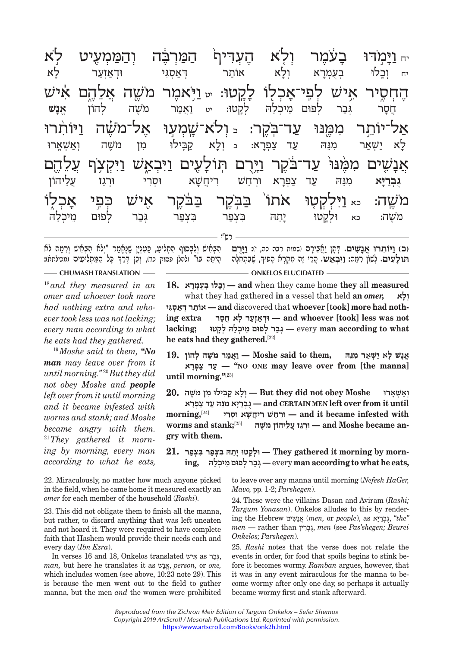| לֹא          |             |           | וְלָא הֶעְדִּיף הַמַּרְבֶּה וְהַמַּמְעֻיט | בַעֹּמֵר                                                                                     | יח וַיַּמֹדוּ |
|--------------|-------------|-----------|-------------------------------------------|----------------------------------------------------------------------------------------------|---------------|
| לַא          | וּרְאַזְעַר | דִאַסְגִי | וִלַא אוֹתַר                              | בְעֻמְרָא                                                                                    | יח וְכָלוּ    |
|              |             |           |                                           | הֶחְסֶיר אִישׁ לְפִי־אָכְלוֹ לָקֶטוּ: <sub>יִי</sub> וַיָּאמֶר מֹשֶׁה אֲלֵהֶם אִישׁ          |               |
| אֵנַש        |             |           |                                           | גְּבַר לְפוּם מֵיכְלֵהּ לְקֵטוּ: יט וַאֲמַר מֹשֶׁה לְהוֹן                                    | <b>ְחֲסֶר</b> |
|              |             |           |                                           | אַל־יוֹתֵר מִמֶּנוּ עַד־בְקֶר: <sub>י</sub> ַןלֹא־שֶׁמְעַוּ אֶל־מֹשֶׁה וַיּוֹתִרוּ           |               |
| יִאַשְׁאֲרוּ |             |           |                                           | לָא יַשְׁאַר מִנֵּהּ עַד צַפְרָא: د וְלָא קַבְּילוּ מִן מֹשֶׁה                               |               |
|              |             |           |                                           | אֲנָשִׁים מִמֶּנּוּ עַד־בֹּקֶר וַיָּרֶם תְּוֹלָעֶים וַיִּבְאֵ <i>ִי</i> ש וַיִּקְצְף עֲלֵהֶם |               |
| עֲלֵיהוֹן    | וּרְגֵז     |           |                                           | מִנֵּהּ עַד צַפְרָא וּרְחֵשׁ רִיחֲשָׁא וּסְרִי                                               | גִּבְרַיָּא   |
| אַכְלְוֹ     | הָתֵֽי      |           |                                           | מֹשֶׁה: <sub>יֹא</sub> וַיִּלְקְטָוּ אֹתוֹ בַּבְקֶר בַּבֹּקֶר אֶישׁ                          |               |
| מיכלה        |             |           |                                           | מֹשֶׁה: כֹּא וּלְקֵטוּ יָתֵה בִּצְפַר בִּצְפַר גְּבַר לְפוּם                                 |               |
|              |             |           | ר כ"י –                                   |                                                                                              |               |

**(כ) ו ִ יּוֹת ֲ רוּ אנ ִ שׁים.** ָ דָּתן וֲאִב ָירם (שמות רבה כה, י): **ו יֻּ רם**  ֧֖֧֪֚֚֚֚֚֚֚֚֚֚֚֚֚֚֚֚֚֚֚֚֚֚֚֚֚֞֝֝֟֟֝֬֝֬֝֬֝֬֝֬֝֬֝֬֝֬֝֬֝֬֝֬֝֬֝֬ ְיָם, יִבְּיָת יִי יְבְּבָּת יִם יִי יָ<sub>וָ</sub> וְבַאֲשָׁ. הָרִי זָה מְקָרָא הַפְּתַח עִדְ יִדְיָה מְלֹח מִיתָּה בּוֹ" (להלן פסוק כד). וְכוֹ זֶרְדֶ ְהִבְאִישׁ וְלִבְסוֹף הִתְלִיטַ, כָּטִנְיֶן שֶׁנֶּאֱמַר "וְלֹא הִבְאִישׁ וְרִמְּה לֹא

**CHUMASH TRANSLATION - <b>CHUMASH TRANSLATION** - **CHUMASH TRANSLATION** 

<sup>18</sup> *and they measured in an omer and whoever took more had nothing extra and whoever took less was not lacking; every man according to what he eats had they gathered.*

<sup>19</sup> *Moshe said to them, "No man may leave over from it until morning."* <sup>20</sup> *But they did not obey Moshe and people left over from it until morning and it became infested with worms and stank; and Moshe became angry with them.*  21 *They gathered it morning by morning, every man according to what he eats,* 

**18. ראָמְ עֻב לוּ ְ כָוְ — and** when they came home **they** all **measured**  what they had gathered **in** a vessel that held **an** *omer,* **לאָ ו ְ גּיִ סְ אדּ רְ אוֹת — and** discovered that **whoever [took] more had nothing extra סרָח אֲ ל ר ָ עזְאוּדְ — and whoever [took] less was not**   $\alpha$  kery man according to what – גִּבַר לְפוּם מֵיכִלָּה לִקַטוּ **he eats had they gathered.**[22]

**ֱ אָנ ָשׁ ל א י ְשׁא ִר מֵנּהּ ,them to said Moshe — וֲאמר מֹ ֶשׁ ְה להוֹן 19. ראָפְ צ ד ע'' — NO ONE may leave over from [the manna] until morning."**[23]

**ְ וא ְשָׁארוּ Moshe obey not did they But — ְו ָל א ק ִבּ ִ ילוּ מן מֹ ֶשׁה 20. until it from over left MEN CERTAIN and — ֻג ְברָיּ ִא מֵנּ הּ ע ד צ ְפָרא with infested infested with — <b>** *i i*  $\blacksquare$  *<b>*  $\blacksquare$  *<b> <i>n n n n n n n n n n n n n n n n n n n n n n n* **worms and stank;**[25] **שׁהֶ ֹמ ליהוֹןֵע ז ֲ גֵוּרְ — and Moshe became angry with them.**

 **,every man according to what he eats,** וְבֵר לְפוּם מֵיכִלֵּה **morn by morning it gathered They — ְוּלָק ָ טוּ יֵת ִהּ בּ ְצפ ִר בּ ְצפר 21.**

22. Miraculously, no matter how much anyone picked in the field, when he came home it measured exactly an *omer* for each member of the household (*Rashi*).

23. This did not obligate them to finish all the manna, but rather, to discard anything that was left uneaten and not hoard it. They were required to have complete faith that Hashem would provide their needs each and every day (*Ibn Ezra*).

In verses 16 and 18, Onkelos translated אישִׁ as ברגְּ, *man,* but here he translates it as נשׁאֱ, *person,* or *one,*  which includes women (see above, 10:23 note 29). This is because the men went out to the field to gather manna, but the men *and* the women were prohibited

to leave over any manna until morning (*Nefesh HaGer, Mavo,* pp. 1-2; *Parshegen*).

24. These were the villains Dasan and Aviram (*Rashi; Targum Yonasan*). Onkelos alludes to this by rendering the Hebrew שׁיםִ נאֲ) *men,* or *people*), as יּארבְ גֻ,*" the" men* — rather than ריןִבְ גֻ, *men* (see *Pas'shegen; Beurei Onkelos; Parshegen*).

25. *Rashi* notes that the verse does not relate the events in order, for food that spoils begins to stink before it becomes wormy. *Ramban* argues, however, that it was in any event miraculous for the manna to become wormy after only one day, so perhaps it actually became wormy first and stank afterward.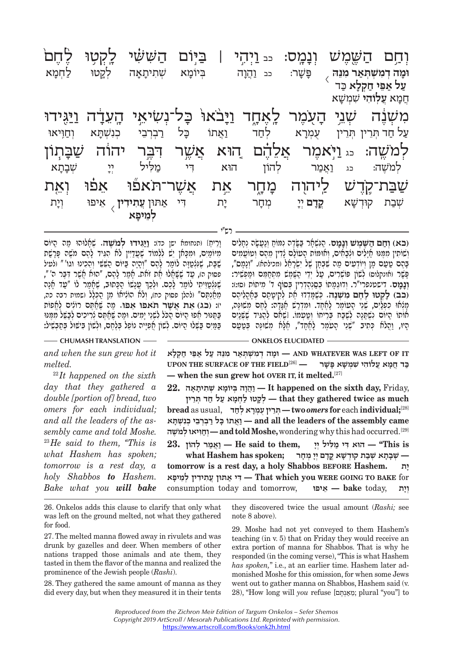יְיַבְרַיִּה, אֶהֶ אֶתְיִתְאָה אֶלֶךְ בִּיֹוֹלַ אֵהָ אֶתֶּי לַחֲמָא<br>וּמָה דְמִשְׁתְּאַר מִנֵּה לָשֶׁר: כֹּב וַהֲוָה בְּיוֹמָא שְׁתִיתָאָה לְקֵטוּ לַחְמָא<br>יול יות הבליי כֹּב :  $\overline{\langle}$ **וּמ ה ְד ִמ ְשׁ ְתּא ר ִמֵנּהּ** פּ
 שׁ
 ר: כב וֲ הו ְ ה בּיוֹמ ְ א שׁ ִתית
 א ְ ה לק0 טוּ ל ְ חמ
 א **ע ל אֵ פּי ח ְ קל א**הַמָּא עֲלְוֹהִי שִׁמְשָׁא<br>ר*וֹנְזוֹר*ֶה *וֹזור*ִנ ויבאו אחד יִה הַעֲר הַיֹּשׁבָּי הַשְׁבָּי הַעֲר הַשִּׁי הַעֲר הַיֹּשׁׁבָּי הַעֲר לְחַד<br>עַל חַד הְרֵין הְרֵין עֻמְרָא ע ל ח ְ ד תֵּר ְ ין תֵּר ֻ ין ע ְמר ְ א לחד וֲ אתוֹ כּ
ל ר ְ בְרֵב ְ י כִנ ְשׁתּ ְ א וח וּJ יאוּ יִ יְהָ דִּבְ יְהָ וֹן הוֹן אֵלֶּבְתָא אֶךָת וֹן יִהְהַ יִהְ וּ<br>לְמֹשֶׁה: כג וַאֲמַר לְהוֹן הוֹא דִי מַלִּיל יְיָ שְׁבָתָא ְלמֹ ֶשׁה: כג וֲ אמ ְ ר ל ִ הוֹן הוּא דּי מ ִ לּ ְ יל יי ְ שׁב
 ת
 א י אישי לא יהוה מערב אין האפון אייפוי קוילען לאפוי האפון אייפוי האפון אייפוי קוילען אייפוי קוילען אייפוי קוילע<br>אפת קוילען קוילען קוילען אייפוי קוילען אייפוי קוילען קוילען קוילען קוילען קוילען קוילען קוילען קוילען קוילען ק אַתּוּן <mark>עֲתִידִין</mark> ָ אֵיפוּ וְיָת<br>לְמֵיפָא יִשְׁבַת קוּדְשָׁא **קֳדָם** יְיָ מְחָר יָת דִּי<br> **ְלֵמיפ א**

רש"י

וָרֵיחַז ותנחומא ישן כד): <u>ויג</u>ּגידוּ לְ**מוֹשֶה. שְׁאֲלוּהוּ מַה הֵיוֹם**<br>מִיּוֹמַיִם, וּמִכָּאן יֵשׁ לִלְמוֹד שֶׁטֲדַיִּין לֹא הָגִּיד לָהֶם משֶׁה פָּרָשַׁת<br>שַׁבָּת, שַׁמְּצְמַוָּה לוֹמֵר לָהֶם "וְהַיָּה בַּיּוֹם הַשָּׁשִ ַ פֹּסוּק ה), עֲד שֶׁשָּׁאֲלוּ אֶת זֹאת. אֲמֵר לַהֶם, "הוּא אֱשֶׁר דְּבֶּר ה'", ׇ֧֖֖֖֖֚֚֚֚֚֝֬<u>֚</u> שֶׁנְאֲטֵוְיִתִּי לוֹמַר לָכֶם. וּלְכַךְ עֲנָשׁוֹ הַכְּחוּב, שֶׁאֲמַר לוֹ "עַד אָנָה"<br>שֵׁנְאֲטֵוֵיתִי לוֹמַר לָכֶם. וּלְכַךְ עֲנָשׁוֹ הַכִּחוּב, שֶׁאֲמַר לוֹ "עַד אָנָה"<br>יז: (בג) את אִשׁר הֹאִפוּ אִפוּ. מה שֹׁאִתֵּם רוֹלִ יז: (בג) **אֵת אֲשֶׁר תֹאפוּ אֵפוּ.** מַה שֶׁאֲסֶם רוֹלִים לֶאֱפּוֹת<br>בַּפֵּנּוּר אֵפוּ הֵיּוֹם הַכֹּל לִשָׁנֵי יַמִּים. וּמֵה שֶׁאֲפֵם לִרִיכִים לִבַּשֵּׁל מִמּנּוּ בּמִים בּשֵׁלוּ היּוֹם. לִשְׁוֹן אִפִיּיה נוֹפל בּלַחִם, וּלִשְׁוֹן בּישֵׁוּל בּתְבֹשִׁיל:

**CHUMASH TRANSLATION - <b>CHUMASH TRANSLATION - ONKELOS ELUCIDATED** 

*and when the sun grew hot it melted.*

<sup>22</sup> *It happened on the sixth day that they gathered a double [portion of] bread, two omers for each individual; and all the leaders of the assembly came and told Moshe.*  <sup>23</sup> *He said to them, ''This is what Hashem has spoken; tomorrow is a rest day, a holy Shabbos to Hashem. Bake what you will bake*

 **IT OF LEFT WAS WHATEVER AND — ָוּמ ְה ד ִמ ְשׁ ְתּא ִר מֵנּ הּ ע ל אֵפּ י ח ְק ָלא כּ ֲד חָמ ֲא ע ִלוֹה ִ י שׁ ְמ ָשׁ ָא פּ ָשׁר —** [26]**FIELD THE OF SURFACE THE UPON — when the sun grew hot OVER IT, it melted.**[27]

 ,Friday **,day sixth the on happened It — וֲהָו ְה בּ ָ יוֹמ ְא שׁ ִת ָיתָאה 22. much as twice gathered they that — ְלָק טוּ ל ְחָמ א ע ל ח ְד תֵּרין**

 $\bm{b}$ read as usual, **י**תְּרֵין עָמִרָא לְחַד $\bm{-}$  two *omers* for each individual; $^{[28]}$  **came assembly the of leaders the all and — וֲא ָ תוֹ כּ ל ר ְבְרֵב ְ י כ ִנ ְשָׁתּא שׁהֶ ֹלמ יאוּ ְ וִּחוְ — and told Moshe,** wondering why this had occurred.[29]

 $\mathbf{R}$  **— II**e said to them, וְאֵמַר להוֹן **—** "This is **— ְשָׁבָת ְא שׁב ְ ת קוּד ָשׁ ֳא קָד ְם יָי ְ מ ָחר ;spoken has Hashem what tomorrow is a rest day, a holy Shabbos BEFORE Hashem. ית ָ** for **BAKE TO GOING WERE you which That — ִדּ י א ֲ תּוּן ע ִת ִיד ְ ין לֵמ ָיפא** consumption today and tomorrow, **איפוֵּ — bake** today, **יתָו ְ**

26. Onkelos adds this clause to clarify that only what was left on the ground melted, not what they gathered for food.

27. The melted manna flowed away in rivulets and was drunk by gazelles and deer. When members of other nations trapped those animals and ate them, they tasted in them the flavor of the manna and realized the prominence of the Jewish people (*Rashi*).

28. They gathered the same amount of manna as they did every day, but when they measured it in their tents

they discovered twice the usual amount (*Rashi;* see note 8 above).

**ְ (כא) וח ם ה ֶ שֶּׁמ ְשׁ ונ מ ס.** הִ נּ ְשָׁאר בָּ שֶּׂד ִה נמּוֹח ְ ונֲעָשׂ ְה נָחִלים

וְשׂוֹתִין מִמֶּנּוּ חֲיָלִים וּלְבָחִים, וְאוּמּוֹת הָעוֹלָם לָדִין מֵהֶם וְטוֹטֲמִים<br>בָּהֶם טַטַם מָן וְיוֹדְעִים מַה שִׁבְּתָן שֶׁל יִשְׂרֶחֵל ומכילתא). "וְנָמֶם",<br>פָּשֶׁר ואומלום) לְשׁוֹן פּוֹשְׁרִים, טַל יְדֵי הֻשֶּׁ

**(כב) ל ְ ק ֶ טוּ לֶח ִם מ ְשֶׁנה.** ְכֶּשָׁמּ ְד ֶ דוּ א ְת לִק ָיטָת ְ ם בָּאֳהֵל ֶיהם מְלְאוֹ כִפְלֵים, שְׁיֵי הֻטוֹמֶר לָחֶׁחָד. וּמִדְרַשׁ חֲגָדְה: לֶחֶם מִשׁוּנֶּה,<br>אוֹתוֹ הַיּוֹם נִשְׁתֵּנָה לַשָּׁבַח בַּרִיחוֹ וְטַטְמוֹ. וּשֵׁלוֹם לַהֲגִּיד שָׁשָּׁנִים יוּ יוֹ יַ יִּהְ יִבְּבֹי יִי שְׁנֵי הְעוֹמְר (לִאְחָד", אָלֹא מִשׁוּנִה בּטעם)

29. Moshe had not yet conveyed to them Hashem's teaching (in v. 5) that on Friday they would receive an extra portion of manna for Shabbos. That is why he responded (in the coming verse), "This is what Hashem *has spoken,*" i.e., at an earlier time. Hashem later admonished Moshe for this omission, for when some Jews went out to gather manna on Shabbos, Hashem said (v. 28), "How long will *you* refuse [תּםֶנְאמֵ ;plural "you"] to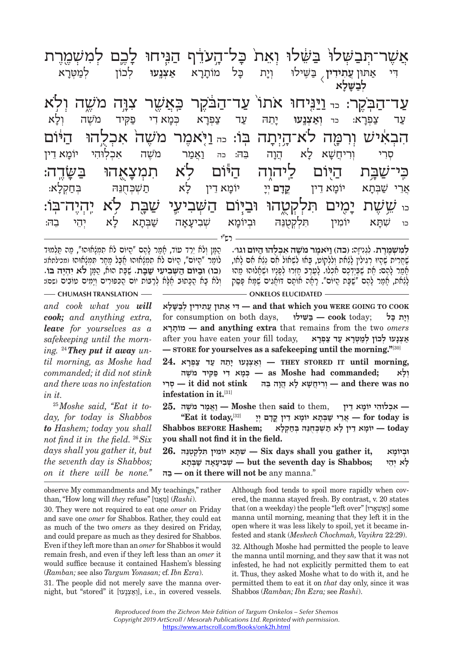ֹיִבְ זִי אֶתוּן עֲתִוּדִין בַּשֶׁילוּ וְיָת כָּל מוֹתָרָא אַצְנֵעוּ לְכוֹן לְמַטְרָא<br>דִי אַתּוּן עֲתוּדִין בַּשֶׁילוּ וְיָת כָּל מוֹתָרָא אַצְנֵעוּ לְכוֹן לְמַטְרָא<br>לְבַשֶּׁלָּא ִדּי

רש"י ע ד־ה יִךְ דָּה עֲדָּה עֲדָּה עֲדָּה עֲדָּה עֲדָּה מֹשֶׁה וֹלָא<br>עַד צַפְרָא כְּמָא רִי פַּקִּיד מֹשֶׁה וְלָא יִה יִה יִהַן יִה הַבְהּ בֵה וַאֲמַר מֹשֶׁה אִכְלְוּהִי יוֹמָא דֵין - יִוּ יִוֹּ יִוֹּ יִוֹּ הַהּ הַבְּהּ בֵה<br>סְרִי וְרִיחֲשָׁא לָא הֲדָה בֵּהּ בֵה בֹּוֹ יִשׁבְּתָא יוֹמָא דֵין יִנְמָא דֵין לָא תַשְׁבְחֻנֵּהּ בְּחַקְלָא:<br>אֲרֵי שַׁבְּתָא יוֹמָא דֵין לָא תַשְׁבְחֻנֵּה בְּחַקְלָא: ַ שִּׁבְּתָא לֹא יִהֶ - " שִׁבְּתָא לֹא יְהֵי ה<br>כו שִׁתָּא יוֹמִין תִלְקְטֻנֵּהּ וּבְיוֹמָא שְׁבִיעָאָה שַׁבְּתָא לָא יְהֵי בֵהּ: עַר צַפְרָא: <sub>כד</sub> וְאַצְנֵעוּ יָחֵהּ עַר צַפְרָא כְּמָא<sup>ֹ</sup>דִי פַקְיד מֹשֶׁה וְלָא<br>הראיג*וּנזז* ורמה לא־היותה כּוֹ - וּיאמר מזזזה ארלהי היוֹי יְי יִבְיִי יִהְ יִהְ יִךְ יִהְ יִחֲי יִבְיִי יִבְיִי יִבְיִי יִבְיֹי יִבְ אָרִי שַׁבְּתָא יוֹמָא דִין **קֵדָם** יְיָ יוֹמָא דִין לָא תַשְׁבְּחֻנֵהּ בְּחַקְלָא:<br>א*נזוזז*ות נמנת הולכנודה נרכנות דזזורנזונ זזורת לא נדונד־רנ כו ִשׁתּ ִ א יוֹמ ִ ין תּ ְל ְקֻטֵנּ ְ הּ וּביוֹמ ְ א שִׁביע
 א
ה שׁ ְ בּת
א ל ְ א יֵה ֵ י בהּ:

הִמּן ולֹא ירד עוֹד, אמר להִם "הִיּוֹם לֹא תִמְלֹאוּהוּ", מה תִּלמוּד לוֹמר "היּוֹם", היּוֹם לֹא תִמְלֹאוּהוּ אָבל מִחְר תִּמְלֹאוּהוּ (מכילתא): **(כו) וּב יּוֹם ה ְ שּׁ ִב ִיעי שׁ בּ ת.** שָׁ בּת הוּא, הָ מּן **לֹ ִא י ְהֶיה בּוֹ.**  וְלֹא בָא הֲכָתוּב אֶלָּא לְרַבּוֹת יוֹם הַכִּפּוּרִים וְיַמְיִם טוֹבִים (שם):

**CHUMASH TRANSLATION** — **CHUMASH TRANSLATION** — **ONKELOS ELUCIDATED ְל ִמ ְשֶׁמֶרת.** ִ לְגִנ ָיזה: **(כה) ו יֹּ ֶאמר מֹ ֶשׁ ִה א ְכֻלהוּ ה יּוֹם וגו'.**  ַשְׁהַרִית שֶׁהָיוּ רִגְילִין לָגַאת וְלִלְקוֹט, בַּאוּ לִשְׁאוֹל אִם נֵגַא אִם לאו, ַלְגַׁאת, אֲמֵר לָהֶם "שָׁבָּת הַיּוֹם". רָאָה אוֹתָם דּוֹאֲגִים שֵׁמַּא פַּסֵק ַמְֿמַר לָהֶם: אֶת שָׁבִּיֶדְכֶם אִכְלוּ. לָטֵרֶב חָזְרוּ לִפָּנֶיוּ וּשִׁאָלוּהוּ מַהוּ

*and cook what you will cook; and anything extra, leave for yourselves as a safekeeping until the morning.* <sup>24</sup>*They put it away until morning, as Moshe had commanded; it did not stink and there was no infestation in it.*

<sup>25</sup> Moshe said, "Eat it to*day, for today is Shabbos to Hashem; today you shall not find it in the field.* <sup>26</sup> *Six days shall you gather it, but the seventh day is Shabbos; on it there will be none.''*  **COOK TO GOING WERE you which that and — ִדּ י א ֲ תּוּן ע ִת ִיד ְ ין לב ָשָּׁלא** for consumption on both days, **שּׁילוִּ בּ — cook** today; **כּל תָ יָו ְ ראָמוֹתָ — and anything extra** that remains from the two *omers*   $\alpha$  **אַצְנָעוּ לְכוֹן לְמֵטְרָא עַר צַפְרָא** , after you have eaten your fill today **— STORE for yourselves as a safekeeping until the morning."**[30]

 **,morning until IT STORED THEY — ְוא ְצָנ ָ עוּ יֵת הּ ע ד צ ְפָרא 24. ְ ו ָלא ;commanded had Moshe as — ְכָּמ ִ א ד י פ ִקּיד מֹ ֶשׁה — it did not stink — וריחשא לא הוה בהּ infestation in it.**[31]

**— ִא ְכ ִלוּה ָ י יוֹמ ֵא דין** ,them to **said** then **Moshe — וֲאמר מֹ ֶשׁה 25. is today for — ֲאֵר י שׁ ְבָּת ָ א יוֹמ ֵא ד ֳ ין קָד ְם יָי** [32]**,today it Eat'' • יוֹמִא דֵין לֹא תִשְׁבִּחְנֵהּ בִּחַקִלֹּא / today – יוֹמִא דֵין ל you shall not find it in the field.**

**וּביוֹמא** , וּביוֹמא , ה' — Six days shall you gather it ו**ב**יוֹמא **ָ ל ְא יֵהי ;Shabbos is day seventh the but — ְשׁ ִב ָיעָא ה שׁ ְבָּתא בהֵּ — on it there will not be** any manna."

observe My commandments and My teachings," rather than, "How long will *they* refuse" [אנוֲּמֵ) [*Rashi*).

30. They were not required to eat one *omer* on Friday and save one *omer* for Shabbos. Rather, they could eat as much of the two *omers* as they desired on Friday, and could prepare as much as they desired for Shabbos. Even if they left more than an *omer* for Shabbos it would remain fresh, and even if they left less than an *omer* it would suffice because it contained Hashem's blessing (*Ramban;* see also *Targum Yonasan;* cf. *Ibn Ezra*).

31. The people did not merely save the manna overnight, but "stored" it [וְאֵצְנָעוּ], i.e., in covered vessels. Although food tends to spoil more rapidly when covered, the manna stayed fresh. By contrast, v. 20 states that (on a weekday) the people "left over" [וְאֵשְׁאֶרוּ] some manna until morning, meaning that they left it in the open where it was less likely to spoil, yet it became infested and stank (*Meshech Chochmah, Vayikra* 22:29).

32. Although Moshe had permitted the people to leave the manna until morning, and they saw that it was not infested, he had not explicitly permitted them to eat it. Thus, they asked Moshe what to do with it, and he permitted them to eat it on *that* day only, since it was Shabbos (*Ramban; Ibn Ezra;* see *Rashi*).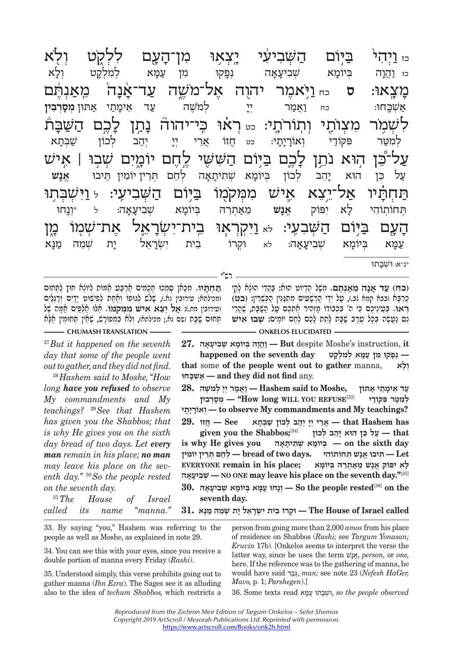ביום ַ יִּהְ יִבְּיֹתֹּא יִ יְהוֹבָה בְּיוֹמָא שְׁבִיעָאָה נְפֵקוּ מִן עַמָּא לְמִלְקָט וְלָא<br>הּוֹנֵהְ בְּיוֹמָא שְׁבִיעָאָה נְפֵקוּ מִן עַמָּא לְמִלְקָט וְלָא כז וֲ הו ְ ה בּיוֹמ ְ א שִׁביע
 א ְ ה נפ ִ 0 קוּ מן ע מּ ְ א ל ִמ ְלק ְ ט ול
 א מָצְאוּ: ס<sub>ְ כּח</sub> וַיָּאמֶר יִהוָה אֶל־מֹשֶׁה עַד־אָ<mark>ׂנָה מֵאַנְתֶּם</mark><br>אַשְׁכֶּחוּ: د<sub>ּח וַאֲמַר יְיָ לְמֹשֶׁה עַד אֵימָתַי אַתּוֹן מְסָרְבִין</sub> אַשְׁבֶּחוּ: <sub>יִם וַ</sub>אֲמַר יְיָ לְמֹשֶׁה עַד אֵימָתַי אַתּוּן **מְסָרְבִין**<br>ל*יזו*מר מעירת וחירה ע, בילוג הידידיה וחז לרח היזורה ַ יְהַב זֶר יִד יִדְ יִהַב לְכוֹן שַׁבְּתָא - עֲקוֹדַי וְאוֹרָיָתִי: כּט חֲזוֹ אֲרֵי יְיָךָ יִדְ יִבְב לְכוֹן<br>פִקוֹדֵי וְאוֹרָיָתִי: כּט חֲזוֹ אֲרֵי יְיָ יְלְלֹה הוֹא יְחַנְ, יִי יִדְי יִהְ יִתְהֹוֹ, וֹאוֹזוֹ, וֹאוֹן וּ יִתְהֹוֹ וּ יִתְהֹוֹ וּ יִתְהֹוֹ וּ יִתְהֹוֹ<br>ל־רוֹ הוֹא וֹחז לרח בינוח הזֹגזוֹזוֹ לחח נוֹמנח זֹזורב | איז על כֵּן הוּא יָהֵב לְכוֹן בְּיוֹמָא שְׁתִיתָאָה לְחֵם תְּרֵין וֹמִין תְּיבוּ א**ֶנָשׁ** עַל כֵּן הוּא יָהֵב לְכוֹן בְּיוֹמָא שְׁתִיתָאָה לְחֵם תְּרֵין וֹמִין תִּיבוּ א<mark>ֶנְשׁ</mark><br>הַחַהְזוּ אל־נע א אוֹ*נוּז מוּמּכֹמוֹ בּ*וּנֹת הַזֹּ*זוּרוּנוּ*ני וּנוֹזוּבּוֹ ַיְהִי דָּ יִךְ זִי דָּ יִךְ דָּ יִךְ דָּ יִךְ וְכֵה בֹּוֹ דָּ יִךְ וְכֵה - יִ יִּוְנָחוּ<br>תְּחוֹתְוֹהִי לָא יִפּוֹק אֱ**ָנָשׁ** מֵאַתְרֵהּ בְּיוֹמָא שְׁבִיעָאָה: ל יּוְנֶחוּ תְּחוֹתְוֹהִי לָא יִפּוֹק א<mark>ֶנָשׁ מֵא</mark>ַתְרֵהּ בְּיוֹמָא שְׁבִיעָאָה: ל יִּוְנֵחוּ<br>היגירו היוֹת היאזרזיגי <sub>לא</sub> ויכר או ריכר־יזזראל אכד־זזזמו ב עַמָּא בִיוֹמָא שְׁבִיעָאָה: לא וּקְרוֹ בֵית יִשְׂרָאֵל יָת שְׁמֵהּ מַנָּא.<br>עַמָּא בְּיוֹמָא שְׁבִיעָאָה: לא וּקְרוֹ בֵית יִשְׂרָאֵל יָת שְׁמֵהּ מַנָּא ע מּ ְ א בּיוֹמ ְ א שִׁביע
 א
 ה: לא ְוּק ֵ רוֹ ב ִ ית י ְשׂרֵ אל י ְ ת שֵׁמהּ מ נּ
 א

רש"י

**תִּחְתִיו.** מכּאן סמכוּ חִכמים ארבּע אמוֹת ליוֹלא חוּץ לתּחוּם (מכילתא; עירובין נא.), שָׁלֹש לְגוּפוֹ וְאֶחָת לְפִישׁוּט יַדַיִם וְרַגְלֵיִם (עירובין מח.): **א ֵ ל יֵצ ִא א ִ ישׁ מ ְמּקֹמוֹ.** ֵאלּוּ אְ לפִּ ים אָ מּ ֶה שׁל ִתְּחוּם שָׁבָּת (שם נא.; מכילתא), וְלֹא בְמִפוֹרָשׁ, שֵׁאֲין תִּחוּמִין אֱלָּא

**CHUMASH TRANSLATION CONSERVERSION ONKELOS ELUCIDATED (כח) עד אנה מאנתם. משל הדיוֹט הוּא: בּהדי הוּגֹא לֹקי** כַרִבּא (בבא קמא גֹב.), עַל יִדֵי הַרְשָׁעִים מִתְגֵּנִין הַכְּשֵׁרִין: (**כט**) **ראוּ. בּמֵייֵכֵם כִּי ה' בִּכְבּוֹדוֹ מַזְהָיר חֵۢמְכֶם עַל הַשַּׁבָּת, שֶׁהֲרֵי** ֵנס נֲעֶשׂ ְה בָּכ ֶ ל עֶרב שָׁ בּ ָת לֵת ָת לֶכ ֶם לֶח ָ ם יוֹמִים: **ְשׁ ִ בוּ אישׁ** 

<u>י יידוע באירי</u><br>תו*י* 

 **it** ,instruction s'Moshe despite **But — וֲהָו ְה בּ ָ יוֹמ ְא שׁ ִב ָיעָאה 27. — ְנָפ ִ קוּ מ ן עָמּ ְא ל ִמ ְלָקט day seventh the on happened that** some **of the people went out to gather** manna, **לאָ ו ְ כּחוָּשְׁ א — and they did not find** any.

**ע ֵד א ָימת י אתּוּן ,Moshe to said Hashem — וֲאמ ְר יָי ְ למֹ ֶשׁה 28. ְ ל ִמטּ ִר פּ קּוֹדי** [33]**REFUSE YOU WILL long How — ''ְמָסְר ִבין תיָיָאוֹרָ וְ — to observe My commandments and My teachings?**

 **has Hashem that — ֲאֵר ְ י יָי ְ יה ְ ב ל כוֹן שׁ ְבָּתא See — ֲחזוֹ 29.**

 $\mathbf{g}$  **wen** you the Shabbos;<sup>[34]</sup> • עַל כֵּן הוּא יָהֵב לְכוֹן Ψ **hat is why He gives you אהָיתָ תִ שׁ א ְ יוֹמ ָ בְּ — on the sixth day Let — ִתּ ֱ יבוּ אָנ ְשׁ תּ ִ חוֹתוֹהי .days two of bread — ְל ֵח ְם תֵּר ִ ין יוֹמין ָ ל ִא י ֱ פּוֹק אָנ ֵשׁ מא ְתֵר ְהּ בּ ָ יוֹמא ;place his in remain EVERYONE אהָיעָ בִ שְׁ — NO ONE may leave his place on the seventh day.''**[35]

 **the on**]36[**rested people the So — ְוָנ חוּ עָמּ ְא בּ ָ יוֹמ ְא שׁ ִב ָיעָאה 30. seventh day. called Israel of House The — ְוּק ֵ רוֹ ב ִ ית י ְשָׂרֵא ָל י ְת שֵׁמ הּ מָנּא 31.**

*on the seventh day.* <sup>31</sup> *The House of Israel called its name "manna."* 

<sup>27</sup> *But it happened on the seventh day that some of the people went out to gather, and they did not find.* <sup>28</sup> *Hashem said to Moshe, ''How long have you refused to observe My commandments and My teachings?* <sup>29</sup> *See that Hashem has given you the Shabbos; that is why He gives you on the sixth day bread of two days. Let every man remain in his place; no man may leave his place on the seventh day.''* <sup>30</sup> *So the people rested* 

33. By saying "you," Hashem was referring to the people as well as Moshe, as explained in note 29.

34. You can see this with your eyes, since you receive a double portion of manna every Friday (*Rashi*).

35. Understood simply, this verse prohibits going out to gather manna (*Ibn Ezra*). The Sages see it as alluding also to the idea of *techum Shabbos,* which restricts a person from going more than 2,000 *amos* from his place of residence on Shabbos (*Rashi;* see *Targum Yonasan; Eruvin* 17b). [Onkelos seems to interpret the verse the latter way, since he uses the term נשׁאֱ, *person,* or *one,*  here. If the reference was to the gathering of manna, he would have said ברגְּ, *man;* see note 23 (*Nefesh HaGer, Mavo,* p. 1; *Parshegen*).]

36. Some texts read מּאע תוּ בוּשְׁ , *so the people observed*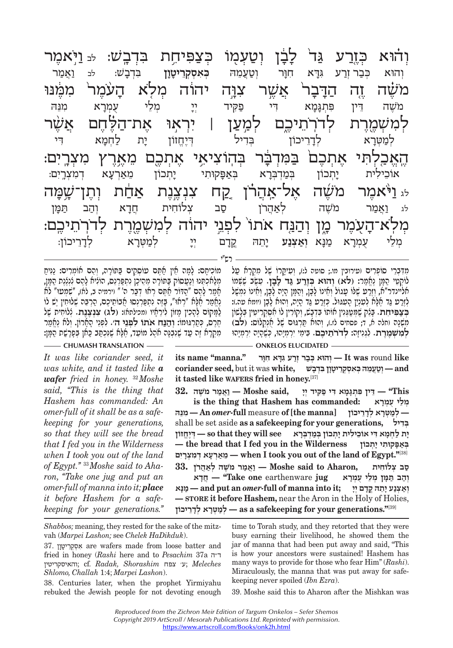זוּא ַ אֲבַר דַּבְר אָבֶן אֶדָּא הַדָּר וְטַעֲמֵהּ בְּאִסְקְרֵיטָןָן בִּדְבָשׁ: לב וַאֲמַר ;<br>וְהוּא כְּבַר וְרַע גִּדָּא חִוָּר וְטַעֲמֵהּ בְּאִסְקְרֵיטָןן בִּדְבָשׁ: לב וַאֲמַר וְהוּא כְּבַרוְרַע גִּדָּא חִוָּר וְטַעֲמֵהּ בְּאִסְקְרֵ**יטָוָן** בִּדְבָשׁ: לב וַאֲמַר<br>*וֹזוֹ*זה זה הדרר א*וֹזו*ר עבה והיה מלא הז<sup>וֹ</sup>וֹמל ממו מֹ ֶ֗שׁה זYה ה דּ
 ב
 ר֙ ֲ אשׁ ִ qר צוּ ֔ D ה יהו ְ ה מ ֤לֹא ה ֨ ֹ עֶמר֙ ִ מֶ֔מּנּוּ י ה די היי ה די המירה למטון ו לראו אח־הלחת א ְל ִמ ְשׁמֶ ר ְ ת לדֹ ֽרֵֹתיכ ְ iם למV ע ִ ן | יְר ֣א ֶ וּ את־הֶ֗ לּ ֶח ֲ ם א ֶ֨שׁר י יידי וואס אחרת באיר היה אחרת מארע מעריו.<br>ארלהי אחרת במדבר בהועיאי אחרת מארע מעריו אַ יִתֶּ אֶבֶל אֶבֶל אֶבֶל אֶבֶל מְאַרְעָא דְמִצְרֵים:<br>אוֹכֵילִית יָתְכוֹן בְּמַדְבְּרָא בְאַפָּקוּתִי יָתְכוֹן מֵאַרְעָא דְמִצְרֵים: י י יווי אל-אָדרו כם ענענם אחס נסניאמי יִ יִּ יִיִּ דִּ יִי וֹיִיִּ זִּ דְּבֶל נִי יִּ דְּבֶל נִי הַמְּן<br>לא וַאֲמַר מֹשֶׁה לְאַהֲרֹן סַב צְלוֹחִית חֲדָא וְהַב תַּמְּן א העומר מי יהום אחו לחוי יהרה למשמרת לדרחירי ַ יְהַ אֶד יִהַ הַלֹּמְטֶרָא הַיְהָ יִהָ יִהַ יְחַבֶּ וֹה לְכַעֵּה הַמִּלֵּ לְמַעֲרָא<br>מְלֵי עֻמְנָא מַנָּא וְ**אַצְנַע** יָחֵהּ קֵדָם יְיָ לְמַטְּרָא לְדָרֵיכוֹן: ְמֵל ֻ י ע ְמר
א מ נּ
 א **ְוא ְ צנ ע** יֵ
 ת ֳ הּ קד ְ ם יי ְ למ ְ טּר ְ א לדֵ
 ריכוֹן:

רש"י

מוֹכִיחָם: לָמָה חֵין חַׂתֶּם עוֹסְקִים בַּפוֹרָה, וְהֵם חוֹמְרִים: נַמִּיחַ<br>מְלַאִכְפֶנוּ וְנַעֲסוֹק בַּפוֹרָה מֵהֵיכָן נִתְפַּרְנֵס, הוֹלִיא לָהֶם לִנְלֶנֶת הַמֶּן,<br>אָמַר לָהֶם "הַדּוֹר אַתֶּה רְאוּ דְּבַר ה'" וירמיה ב, הָרֶס, כְּסַרְגּוּמוֹ: וְהַבַּח אֹתוֹ לִפְגֵי ה׳. לִפְגֵי הָאָרוֹן. וְלֹא נֶאֱמַר<br>מִקְרָא זֶה טַד שֶׁנִבְּנֶה אֹהֶל מוֹטֵד, אֲלָא שֶׁנִכְסֵב כַּאן בִּפְרָשֵׁת הֲמָן:

## **CHUMASH TRANSLATION ONKELOS ELUCIDATED**

*It was like coriander seed, it was white, and it tasted like a wafer fried in honey.* <sup>32</sup> *Moshe said, ''This is the thing that Hashem has commanded: An omer-full of it shall be as a safekeeping for your generations, so that they will see the bread that I fed you in the Wilderness when I took you out of the land of Egypt.''* 33 *Moshe said to Aharon, ''Take one jug and put an omer-full of manna into it; place it before Hashem for a safekeeping for your generations.''*  מִדְבְּרֵי סוֹפְרִים ועירובין מו.; סוטה ל:), וְעִיקָרוֹ שֶׁל מִקְרָא עַל<br>לוֹקְטֵי הַמֶּן נֶאֱמֵר: (לא) וְהוּא בְּדֶרַע גַּד לָבָן. עַשֶׂב שֶׁשְּׁמוֹ<br>אליינדר"א, וְזֵרַט שֶׁלּוֹ טָגוֹל וְאֵינוֹ לָבָן, וְהַמֶּן הָיָה לָבָן, **מִשְׁנָה וחלה א, ד; פסחים לז.), וְהוּא פַּרְגּוּם שֶׁל אָנְקְלוֹס: (<b>לב)**<br>**לְמִשְׁמֵרֵת. לְגִנִיזָה: לְדֹרֹתֵיבֶם. בִּימֵי יִרְמִיָּהוּ, פִשָּׁרֶיָה יִרְמִיָּהוּ** 

 **lt was round like** וְהוּא כִּבַר זְרַע גִּדָּא חִוָּר [t was round like *and* **– יִטֲעֲמֵהּ כִּאִסְקְרֵיטָוַן בִּדְבָשׁ (עֲמֹה כִּאַסְקְרֵיטָן וּ it tasted like WAFERS fried in honey.**[37]

 **This — ''ֵדּ ִ ין פּ ְתָגָּמ ִא דּ י פ ִקּ ְ יד יָי ,said Moshe — וֲאמר מֹ ֶשׁה 32. is the thing that Hashem has commanded: ראָמְ ע י ֻ לֵמ ְ — ְלמ ְטָּר ְא לָדֵריכוֹן [manna the [of** measure **full***-omer* **An — ִמֵנּהּ** shall be set aside **as a safekeeping for your generations, דילִבּ ְ ָי ת ל ְחָמ ִא דּ ֵ י אוֹכ ִיל ָ ית י ְת ְ כוֹן בּמְד ְבָּרא see will they that so — ְדֶּיֱחזוֹן — the bread that I fed you in the Wilderness תכוֹןְ י י ָ קוּתִ פָּאבּ ְ** [38]**''.Egypt of land the of out you took I when — ֵמאְרָע ְא ד ִמ ְצָרִים  ס ְ ב צ ִלוֹחית ,Aharon to said Moshe — וֲאמר מֹ ֶשׁ ְ ה לאֲהרֹן 33. וְהָב תִּמִּן מִלֵי עִמְרָא Take one** earthenware j**ug** 

 $\boldsymbol{\mu}$  **וֹאצנע יִתְהֵּ קָדְם יִי** ; and put an *omer* **full** of manna into it: **— STORE it before Hashem,** near the Aron in the Holy of Holies, [39]**''.generations your for safekeeping a as — ְלמ ְטָּר ְא לָדֵריכוֹן**

*Shabbos;* meaning, they rested for the sake of the mitzvah (*Marpei Lashon;* see *Chelek HaDikduk*).

37. וןיט רֵקְסְ אִ are wafers made from loose batter and fried in honey (*Rashi* here and to *Pesachim* 37a ה"ד והאיסקריטין ;cf. *Radak, Shorashim* צפח' ע ;*Meleches Shlomo, Challah* 1:4; *Marpei Lashon*).

38. Centuries later, when the prophet Yirmiyahu rebuked the Jewish people for not devoting enough time to Torah study, and they retorted that they were busy earning their livelihood, he showed them the jar of manna that had been put away and said, "This is how your ancestors were sustained! Hashem has many ways to provide for those who fear Him" (*Rashi*). Miraculously, the manna that was put away for safekeeping never spoiled (*Ibn Ezra*).

39. Moshe said this to Aharon after the Mishkan was